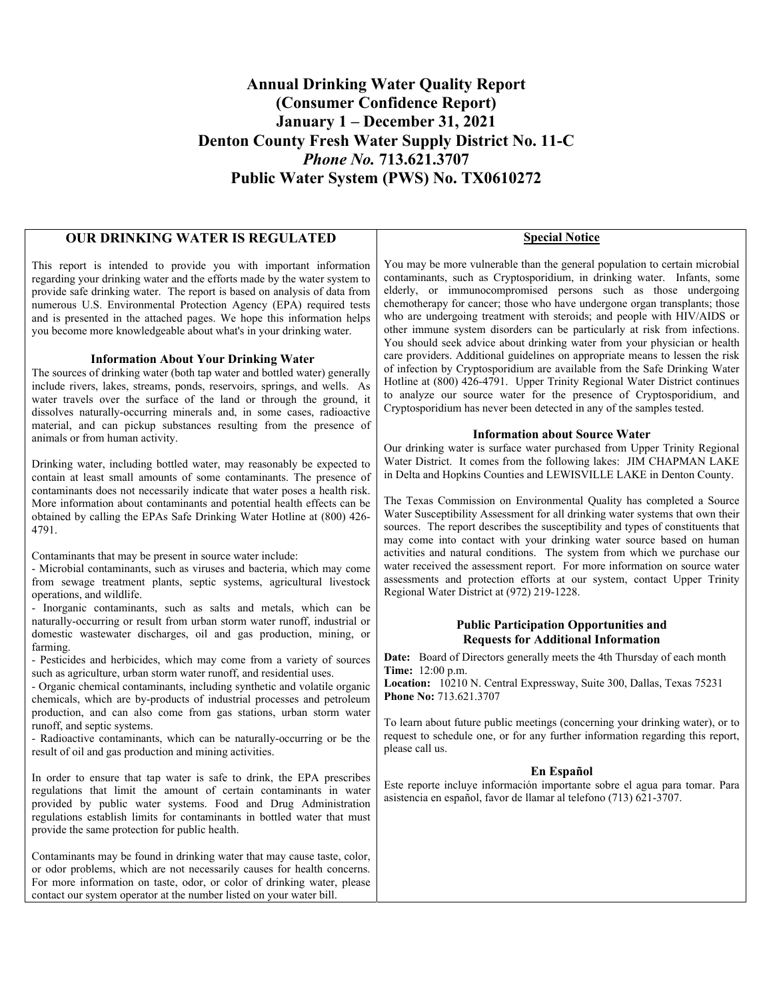### **Annual Drinking Water Quality Report (Consumer Confidence Report) January 1 – December 31, 2021 Denton County Fresh Water Supply District No. 11-C**  *Phone No.* **713.621.3707 Public Water System (PWS) No. TX0610272**

### **OUR DRINKING WATER IS REGULATED**

This report is intended to provide you with important information regarding your drinking water and the efforts made by the water system to provide safe drinking water. The report is based on analysis of data from numerous U.S. Environmental Protection Agency (EPA) required tests and is presented in the attached pages. We hope this information helps you become more knowledgeable about what's in your drinking water.

#### **Information About Your Drinking Water**

The sources of drinking water (both tap water and bottled water) generally include rivers, lakes, streams, ponds, reservoirs, springs, and wells. As water travels over the surface of the land or through the ground, it dissolves naturally-occurring minerals and, in some cases, radioactive material, and can pickup substances resulting from the presence of animals or from human activity.

Drinking water, including bottled water, may reasonably be expected to contain at least small amounts of some contaminants. The presence of contaminants does not necessarily indicate that water poses a health risk. More information about contaminants and potential health effects can be obtained by calling the EPAs Safe Drinking Water Hotline at (800) 426- 4791.

Contaminants that may be present in source water include:

- Microbial contaminants, such as viruses and bacteria, which may come from sewage treatment plants, septic systems, agricultural livestock operations, and wildlife.

- Inorganic contaminants, such as salts and metals, which can be naturally-occurring or result from urban storm water runoff, industrial or domestic wastewater discharges, oil and gas production, mining, or farming.

- Pesticides and herbicides, which may come from a variety of sources such as agriculture, urban storm water runoff, and residential uses.

- Organic chemical contaminants, including synthetic and volatile organic chemicals, which are by-products of industrial processes and petroleum production, and can also come from gas stations, urban storm water runoff, and septic systems.

- Radioactive contaminants, which can be naturally-occurring or be the result of oil and gas production and mining activities.

In order to ensure that tap water is safe to drink, the EPA prescribes regulations that limit the amount of certain contaminants in water provided by public water systems. Food and Drug Administration regulations establish limits for contaminants in bottled water that must provide the same protection for public health.

Contaminants may be found in drinking water that may cause taste, color, or odor problems, which are not necessarily causes for health concerns. For more information on taste, odor, or color of drinking water, please contact our system operator at the number listed on your water bill.

**Special Notice** 

You may be more vulnerable than the general population to certain microbial contaminants, such as Cryptosporidium, in drinking water. Infants, some elderly, or immunocompromised persons such as those undergoing chemotherapy for cancer; those who have undergone organ transplants; those who are undergoing treatment with steroids; and people with HIV/AIDS or other immune system disorders can be particularly at risk from infections. You should seek advice about drinking water from your physician or health care providers. Additional guidelines on appropriate means to lessen the risk of infection by Cryptosporidium are available from the Safe Drinking Water Hotline at (800) 426-4791. Upper Trinity Regional Water District continues to analyze our source water for the presence of Cryptosporidium, and Cryptosporidium has never been detected in any of the samples tested.

#### **Information about Source Water**

Our drinking water is surface water purchased from Upper Trinity Regional Water District. It comes from the following lakes: JIM CHAPMAN LAKE in Delta and Hopkins Counties and LEWISVILLE LAKE in Denton County.

The Texas Commission on Environmental Quality has completed a Source Water Susceptibility Assessment for all drinking water systems that own their sources. The report describes the susceptibility and types of constituents that may come into contact with your drinking water source based on human activities and natural conditions. The system from which we purchase our water received the assessment report. For more information on source water assessments and protection efforts at our system, contact Upper Trinity Regional Water District at (972) 219-1228.

#### **Public Participation Opportunities and Requests for Additional Information**

**Date:** Board of Directors generally meets the 4th Thursday of each month **Time:** 12:00 p.m.

**Location:** 10210 N. Central Expressway, Suite 300, Dallas, Texas 75231 **Phone No:** 713.621.3707

To learn about future public meetings (concerning your drinking water), or to request to schedule one, or for any further information regarding this report, please call us.

#### **En Español**

Este reporte incluye información importante sobre el agua para tomar. Para asistencia en español, favor de llamar al telefono (713) 621-3707.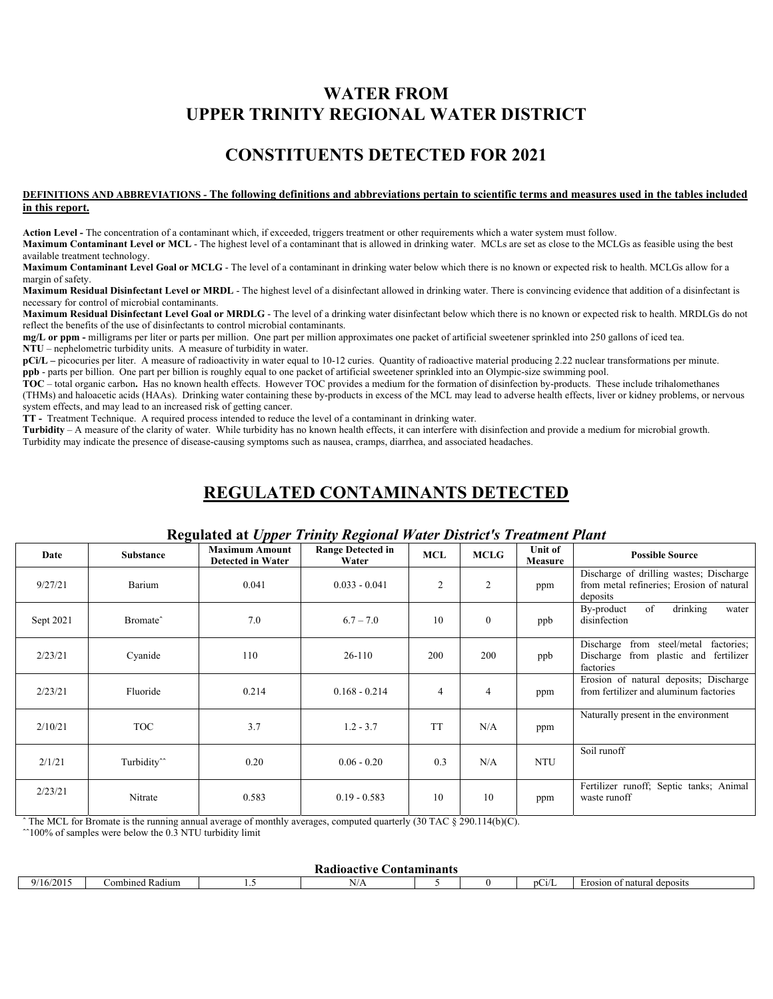## **WATER FROM UPPER TRINITY REGIONAL WATER DISTRICT**

### **CONSTITUENTS DETECTED FOR 2021**

#### **DEFINITIONS AND ABBREVIATIONS - The following definitions and abbreviations pertain to scientific terms and measures used in the tables included in this report.**

**Action Level -** The concentration of a contaminant which, if exceeded, triggers treatment or other requirements which a water system must follow.

**Maximum Contaminant Level or MCL** - The highest level of a contaminant that is allowed in drinking water. MCLs are set as close to the MCLGs as feasible using the best available treatment technology.

**Maximum Contaminant Level Goal or MCLG** - The level of a contaminant in drinking water below which there is no known or expected risk to health. MCLGs allow for a margin of safety.

**Maximum Residual Disinfectant Level or MRDL** - The highest level of a disinfectant allowed in drinking water. There is convincing evidence that addition of a disinfectant is necessary for control of microbial contaminants.

**Maximum Residual Disinfectant Level Goal or MRDLG** - The level of a drinking water disinfectant below which there is no known or expected risk to health. MRDLGs do not reflect the benefits of the use of disinfectants to control microbial contaminants.

**mg/L or ppm -** milligrams per liter or parts per million. One part per million approximates one packet of artificial sweetener sprinkled into 250 gallons of iced tea. **NTU** – nephelometric turbidity units. A measure of turbidity in water.

**pCi/L** – picocuries per liter. A measure of radioactivity in water equal to 10-12 curies. Quantity of radioactive material producing 2.22 nuclear transformations per minute. **ppb** - parts per billion. One part per billion is roughly equal to one packet of artificial sweetener sprinkled into an Olympic-size swimming pool.

**TOC** – total organic carbon**.** Has no known health effects. However TOC provides a medium for the formation of disinfection by-products. These include trihalomethanes (THMs) and haloacetic acids (HAAs). Drinking water containing these by-products in excess of the MCL may lead to adverse health effects, liver or kidney problems, or nervous system effects, and may lead to an increased risk of getting cancer.

**TT -** Treatment Technique. A required process intended to reduce the level of a contaminant in drinking water.

**Turbidity** – A measure of the clarity of water. While turbidity has no known health effects, it can interfere with disinfection and provide a medium for microbial growth. Turbidity may indicate the presence of disease-causing symptoms such as nausea, cramps, diarrhea, and associated headaches.

## **REGULATED CONTAMINANTS DETECTED**

| Date      | ਤ<br><b>Substance</b>   | .<br><b>Maximum Amount</b><br><b>Detected in Water</b> | ு<br><b>Range Detected in</b><br>Water | <b>MCL</b>     | <b>MCLG</b>    | <b>Unit of</b><br>Measure | <b>Possible Source</b>                                                                           |
|-----------|-------------------------|--------------------------------------------------------|----------------------------------------|----------------|----------------|---------------------------|--------------------------------------------------------------------------------------------------|
| 9/27/21   | Barium                  | 0.041                                                  | $0.033 - 0.041$                        | $\overline{c}$ | $\overline{2}$ | ppm                       | Discharge of drilling wastes; Discharge<br>from metal refineries; Erosion of natural<br>deposits |
| Sept 2021 | Bromate <sup>^</sup>    | 7.0                                                    | $6.7 - 7.0$                            | 10             | $\mathbf{0}$   | ppb                       | drinking<br>of<br>By-product<br>water<br>disinfection                                            |
| 2/23/21   | Cyanide                 | 110                                                    | $26-110$                               | 200            | 200            | ppb                       | Discharge from steel/metal<br>factories:<br>Discharge from plastic and fertilizer<br>factories   |
| 2/23/21   | Fluoride                | 0.214                                                  | $0.168 - 0.214$                        | $\overline{4}$ | $\overline{4}$ | ppm                       | Erosion of natural deposits; Discharge<br>from fertilizer and aluminum factories                 |
| 2/10/21   | <b>TOC</b>              | 3.7                                                    | $1.2 - 3.7$                            | <b>TT</b>      | N/A            | ppm                       | Naturally present in the environment                                                             |
| 2/1/21    | Turbidity <sup>^^</sup> | 0.20                                                   | $0.06 - 0.20$                          | 0.3            | N/A            | <b>NTU</b>                | Soil runoff                                                                                      |
| 2/23/21   | Nitrate                 | 0.583                                                  | $0.19 - 0.583$                         | 10             | 10             | ppm                       | Fertilizer runoff; Septic tanks; Animal<br>waste runoff                                          |

### **Regulated at** *Upper Trinity Regional Water District's Treatment Plant*

ˆ The MCL for Bromate is the running annual average of monthly averages, computed quarterly (30 TAC § 290.114(b)(C).  $^{\circ}100\%$  of samples were below the 0.3 NTU turbidity limit

| <b>Contaminants</b><br>oactive<br>. пач |                                                 |  |        |  |  |       |                                |  |  |
|-----------------------------------------|-------------------------------------------------|--|--------|--|--|-------|--------------------------------|--|--|
| 16/2015<br>07                           | $\sim$<br>$\sim$ $\sim$<br>ombined.<br>' Radıum |  | 31 L S |  |  | DCL/L | of natural deposits<br>Erosion |  |  |